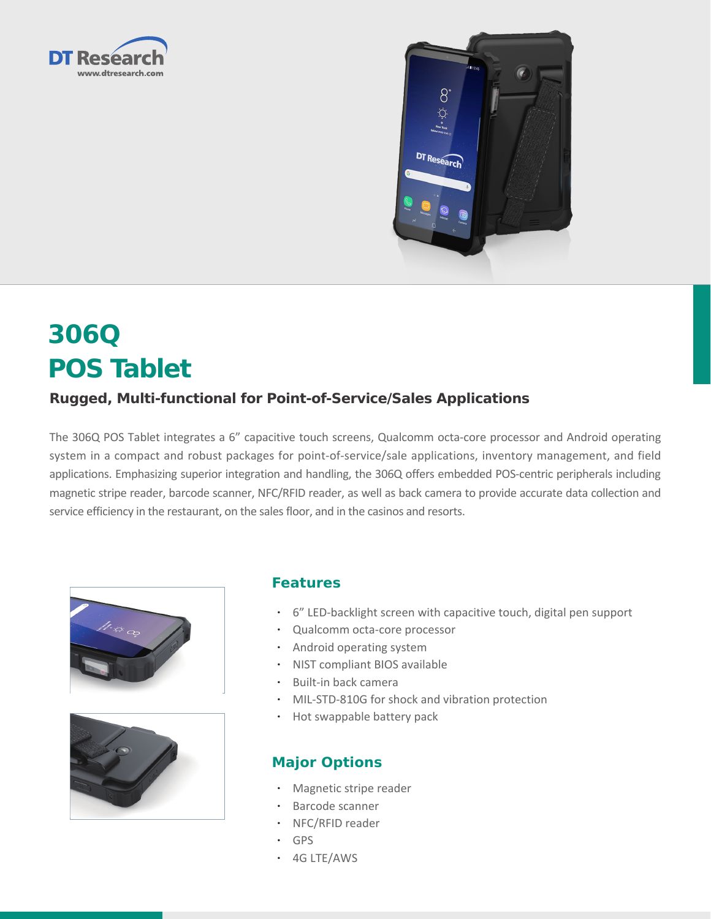



# **306Q POS Tablet**

### **Rugged, Multi-functional for Point-of-Service/Sales Applications**

The 306Q POS Tablet integrates a 6" capacitive touch screens, Qualcomm octa-core processor and Android operating system in a compact and robust packages for point-of-service/sale applications, inventory management, and field applications. Emphasizing superior integration and handling, the 306Q offers embedded POS-centric peripherals including magnetic stripe reader, barcode scanner, NFC/RFID reader, as well as back camera to provide accurate data collection and service efficiency in the restaurant, on the sales floor, and in the casinos and resorts.





#### **Features**

- • 6" LED-backlight screen with capacitive touch, digital pen support
- • Qualcomm octa-core processor
- • Android operating system
- • NIST compliant BIOS available
- • Built-in back camera
- MIL-STD-810G for shock and vibration protection
- Hot swappable battery pack

#### **Major Options**

- Magnetic stripe reader
- • Barcode scanner
- NFC/RFID reader
- • GPS
- • 4G LTE/AWS